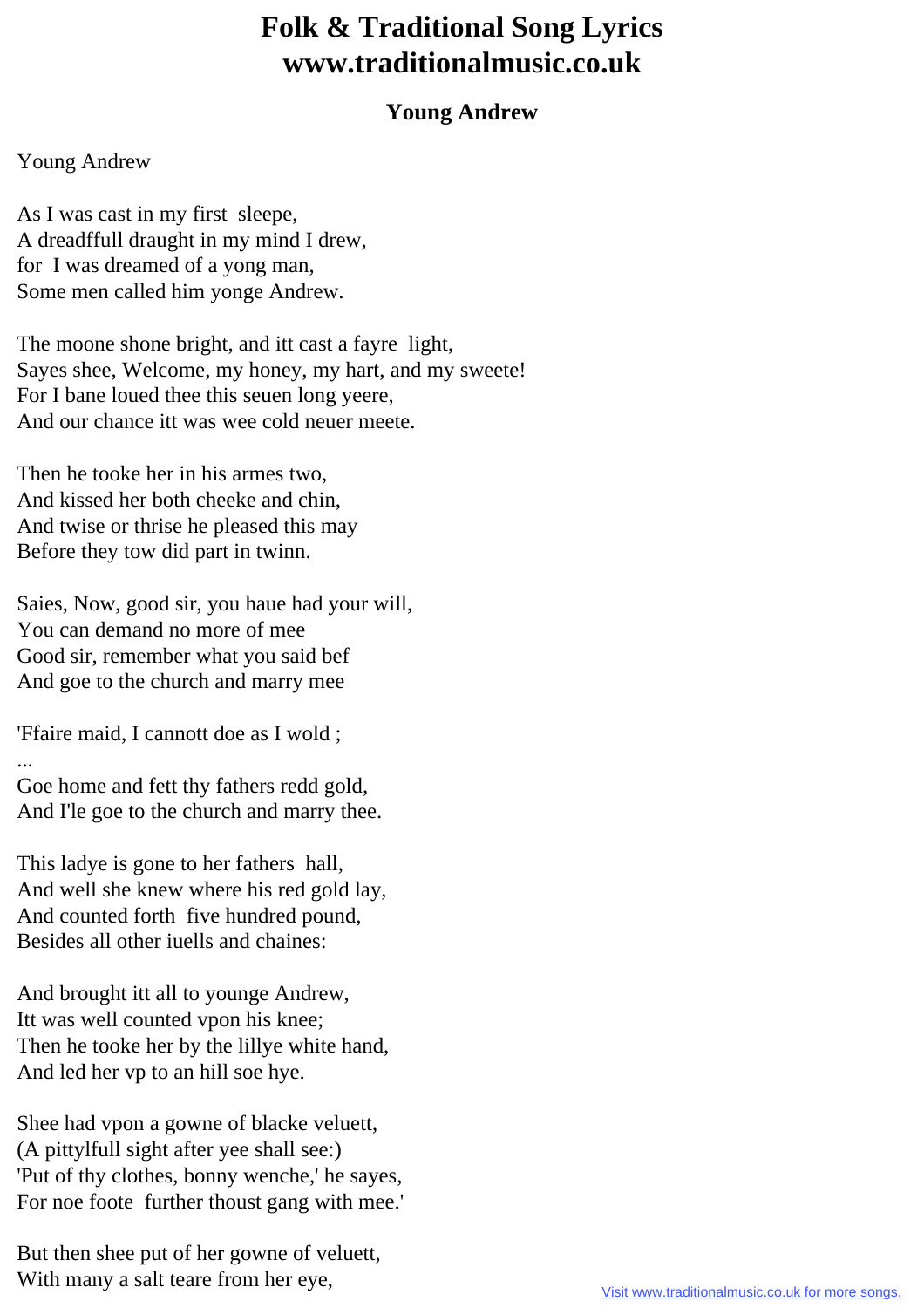## **Folk & Traditional Song Lyrics www.traditionalmusic.co.uk**

## **Young Andrew**

## Young Andrew

As I was cast in my first sleepe, A dreadffull draught in my mind I drew, for I was dreamed of a yong man, Some men called him yonge Andrew.

The moone shone bright, and itt cast a fayre light, Sayes shee, Welcome, my honey, my hart, and my sweete! For I bane loued thee this seuen long yeere, And our chance itt was wee cold neuer meete.

Then he tooke her in his armes two, And kissed her both cheeke and chin, And twise or thrise he pleased this may Before they tow did part in twinn.

Saies, Now, good sir, you haue had your will, You can demand no more of mee Good sir, remember what you said bef And goe to the church and marry mee

'Ffaire maid, I cannott doe as I wold ; ...

Goe home and fett thy fathers redd gold, And I'le goe to the church and marry thee.

This ladye is gone to her fathers hall, And well she knew where his red gold lay, And counted forth five hundred pound, Besides all other iuells and chaines:

And brought itt all to younge Andrew, Itt was well counted vpon his knee; Then he tooke her by the lillye white hand, And led her vp to an hill soe hye.

Shee had vpon a gowne of blacke veluett, (A pittylfull sight after yee shall see:) 'Put of thy clothes, bonny wenche,' he sayes, For noe foote further thoust gang with mee.'

But then shee put of her gowne of veluett, With many a salt teare from her eye,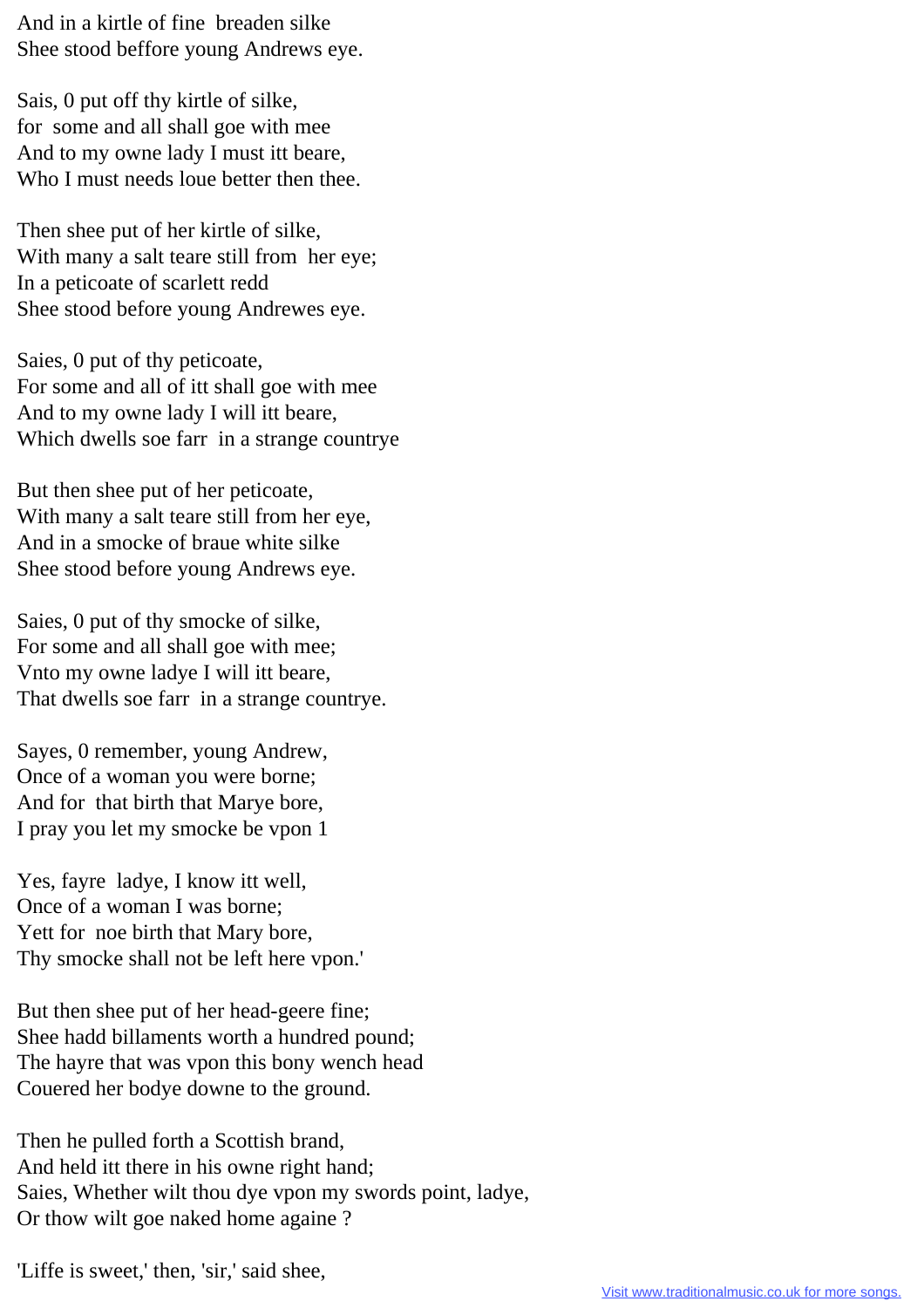And in a kirtle of fine breaden silke Shee stood beffore young Andrews eye.

Sais, 0 put off thy kirtle of silke, for some and all shall goe with mee And to my owne lady I must itt beare, Who I must needs loue better then thee.

Then shee put of her kirtle of silke, With many a salt teare still from her eye; In a peticoate of scarlett redd Shee stood before young Andrewes eye.

Saies, 0 put of thy peticoate, For some and all of itt shall goe with mee And to my owne lady I will itt beare, Which dwells soe farr in a strange countrye

But then shee put of her peticoate, With many a salt teare still from her eye, And in a smocke of braue white silke Shee stood before young Andrews eye.

Saies, 0 put of thy smocke of silke, For some and all shall goe with mee; Vnto my owne ladye I will itt beare, That dwells soe farr in a strange countrye.

Sayes, 0 remember, young Andrew, Once of a woman you were borne; And for that birth that Marye bore, I pray you let my smocke be vpon 1

Yes, fayre ladye, I know itt well, Once of a woman I was borne; Yett for noe birth that Mary bore, Thy smocke shall not be left here vpon.'

But then shee put of her head-geere fine; Shee hadd billaments worth a hundred pound; The hayre that was vpon this bony wench head Couered her bodye downe to the ground.

Then he pulled forth a Scottish brand, And held itt there in his owne right hand; Saies, Whether wilt thou dye vpon my swords point, ladye, Or thow wilt goe naked home againe ?

'Liffe is sweet,' then, 'sir,' said shee,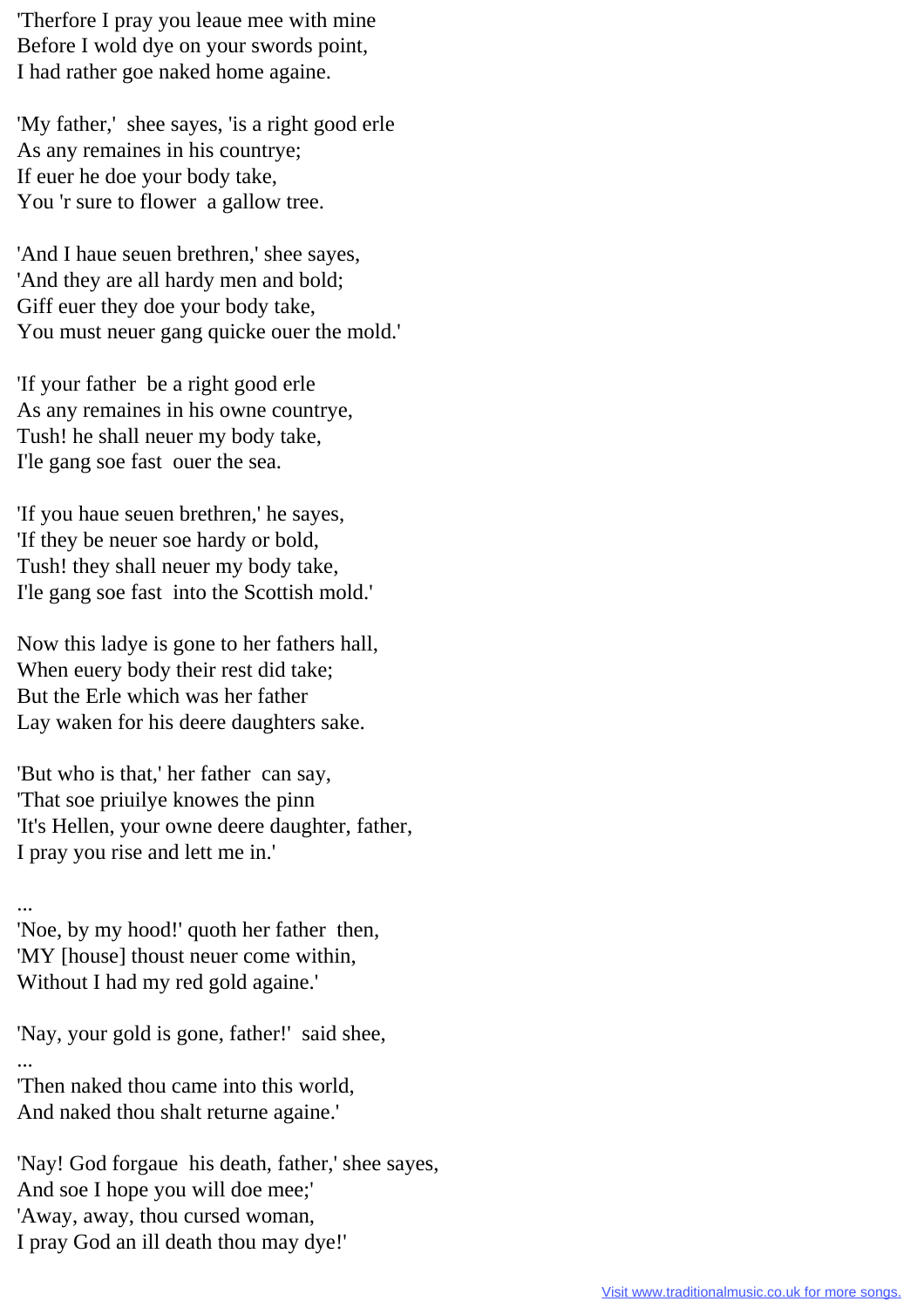'Therfore I pray you leaue mee with mine Before I wold dye on your swords point, I had rather goe naked home againe.

'My father,' shee sayes, 'is a right good erle As any remaines in his countrye; If euer he doe your body take, You 'r sure to flower a gallow tree.

'And I haue seuen brethren,' shee sayes, 'And they are all hardy men and bold; Giff euer they doe your body take, You must neuer gang quicke ouer the mold.'

'If your father be a right good erle As any remaines in his owne countrye, Tush! he shall neuer my body take, I'le gang soe fast ouer the sea.

'If you haue seuen brethren,' he sayes, 'If they be neuer soe hardy or bold, Tush! they shall neuer my body take, I'le gang soe fast into the Scottish mold.'

Now this ladye is gone to her fathers hall, When euery body their rest did take; But the Erle which was her father Lay waken for his deere daughters sake.

'But who is that,' her father can say, 'That soe priuilye knowes the pinn 'It's Hellen, your owne deere daughter, father, I pray you rise and lett me in.'

... 'Noe, by my hood!' quoth her father then, 'MY [house] thoust neuer come within, Without I had my red gold againe.'

'Nay, your gold is gone, father!' said shee, ...

'Then naked thou came into this world, And naked thou shalt returne againe.'

'Nay! God forgaue his death, father,' shee sayes, And soe I hope you will doe mee;' 'Away, away, thou cursed woman, I pray God an ill death thou may dye!'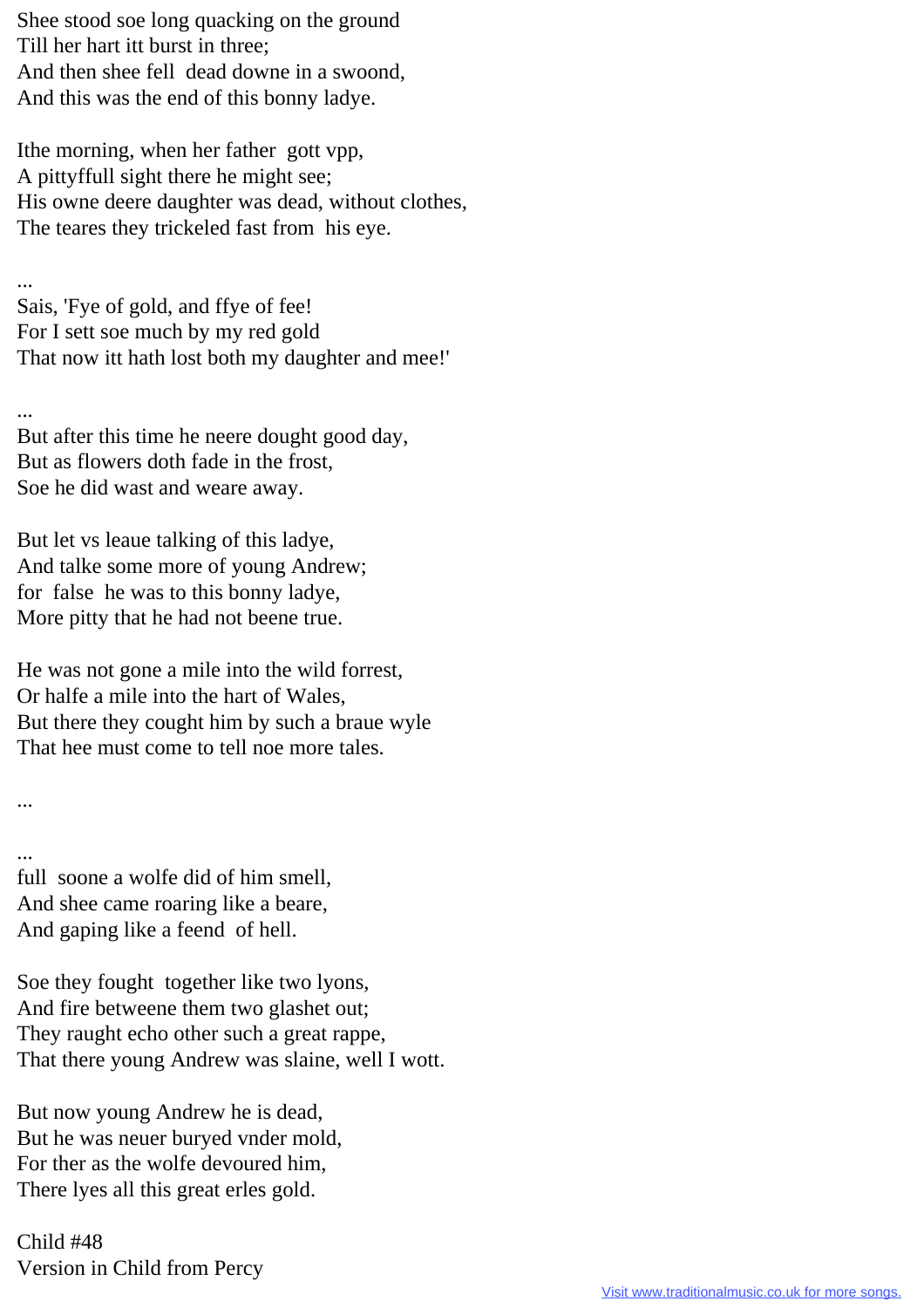Shee stood soe long quacking on the ground Till her hart itt burst in three; And then shee fell dead downe in a swoond, And this was the end of this bonny ladye.

Ithe morning, when her father gott vpp, A pittyffull sight there he might see; His owne deere daughter was dead, without clothes, The teares they trickeled fast from his eye.

... Sais, 'Fye of gold, and ffye of fee! For I sett soe much by my red gold That now itt hath lost both my daughter and mee!'

...

...

But after this time he neere dought good day, But as flowers doth fade in the frost, Soe he did wast and weare away.

But let vs leaue talking of this ladye, And talke some more of young Andrew; for false he was to this bonny ladye, More pitty that he had not beene true.

He was not gone a mile into the wild forrest, Or halfe a mile into the hart of Wales, But there they cought him by such a braue wyle That hee must come to tell noe more tales.

... full soone a wolfe did of him smell, And shee came roaring like a beare, And gaping like a feend of hell.

Soe they fought together like two lyons, And fire betweene them two glashet out; They raught echo other such a great rappe, That there young Andrew was slaine, well I wott.

But now young Andrew he is dead, But he was neuer buryed vnder mold, For ther as the wolfe devoured him, There lyes all this great erles gold.

Child #48 Version in Child from Percy